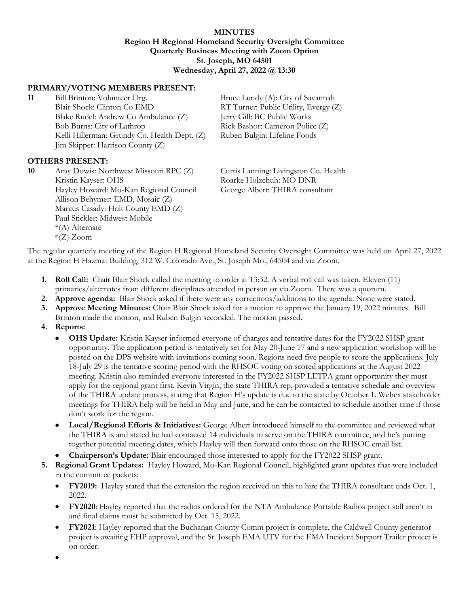## **MINUTES Region H Regional Homeland Security Oversight Committee Quarterly Business Meeting with Zoom Option St. Joseph, MO 64501 Wednesday, April 27, 2022 @ 13:30**

## **PRIMARY/VOTING MEMBERS PRESENT:**

**11** Bill Brinton: Volunteer Org. Bruce Lundy (A): City of Savannah Blair Shock: Clinton Co EMD RT Turner: Public Utility, Evergy (Z) Blake Rudel: Andrew Co Ambulance (Z) Jerry Gill: BC Public Works Bob Burns: City of Lathrop Rick Bashor: Cameron Police (Z) Kelli Hillerman: Grundy Co. Health Dept. (Z) Ruben Bulgin: Lifeline Foods Jim Skipper: Harrison County (Z)

## **OTHERS PRESENT:**

**10** Amy Dowis: Northwest Missouri RPC (Z) Curtis Lanning: Livingston Co. Health Kristin Kayser: OHS Roarke Holzchuh: MO DNR Hayley Howard: Mo-Kan Regional Council George Albert: THIRA consultant Allison Behymer: EMD, Mosaic (Z) Marcus Casady: Holt County EMD (Z) Paul Stickler: Midwest Mobile \*(A) Alternate \*(Z) Zoom

The regular quarterly meeting of the Region H Regional Homeland Security Oversight Committee was held on April 27, 2022 at the Region H Hazmat Building, 312 W. Colorado Ave., St. Joseph Mo., 64504 and via Zoom.

- **1. Roll Call:** Chair Blair Shock called the meeting to order at 13:32. A verbal roll call was taken. Eleven (11) primaries/alternates from different disciplines attended in person or via Zoom. There was a quorum.
- **2. Approve agenda:** Blair Shock asked if there were any corrections/additions to the agenda. None were stated.
- **3. Approve Meeting Minutes:** Chair Blair Shock asked for a motion to approve the January 19, 2022 minutes. Bill Brinton made the motion, and Ruben Bulgin seconded. The motion passed.
- **4. Reports:**
	- **OHS Update:** Kristin Kayser informed everyone of changes and tentative dates for the FY2022 SHSP grant opportunity. The application period is tentatively set for May 20-June 17 and a new application workshop will be posted on the DPS website with invitations coming soon. Regions need five people to score the applications. July 18-July 29 is the tentative scoring period with the RHSOC voting on scored applications at the August 2022 meeting. Kristin also reminded everyone interested in the FY2022 SHSP LETPA grant opportunity they must apply for the regional grant first. Kevin Virgin, the state THIRA rep, provided a tentative schedule and overview of the THIRA update process, stating that Region H's update is due to the state by October 1. Webex stakeholder meetings for THIRA help will be held in May and June, and he can be contacted to schedule another time if those don't work for the region.
	- **Local/Regional Efforts & Initiatives:** George Albert introduced himself to the committee and reviewed what the THIRA is and stated he had contacted 14 individuals to serve on the THIRA committee, and he's putting together potential meeting dates, which Hayley will then forward onto those on the RHSOC email list.
	- **Chairperson's Update:** Blair encouraged those interested to apply for the FY2022 SHSP grant.
- **5. Regional Grant Updates:** Hayley Howard, Mo-Kan Regional Council, highlighted grant updates that were included in the committee packets:
	- **FY2019:** Hayley stated that the extension the region received on this to hire the THIRA consultant ends Oct. 1, 2022.
	- **FY2020**: Hayley reported that the radios ordered for the NTA Ambulance Portable Radios project still aren't in and final claims must be submitted by Oct. 15, 2022.
	- **FY2021**: Hayley reported that the Buchanan County Comm project is complete, the Caldwell County generator project is awaiting EHP approval, and the St. Joseph EMA UTV for the EMA Incident Support Trailer project is on order.

•